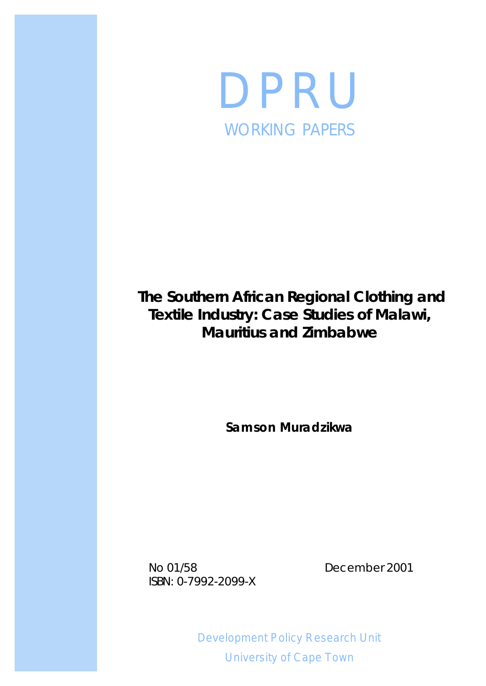

# **The Southern African Regional Clothing and Textile Industry: Case Studies of Malawi, Mauritius and Zimbabwe**

**Samson Muradzikwa**

No 01/58 December 2001 ISBN: 0-7992-2099-X

Development Policy Research Unit University of Cape Town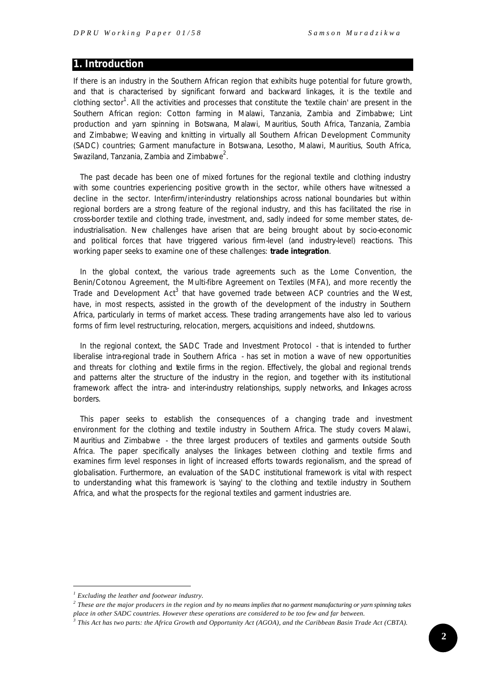## **1. Introduction**

If there is an industry in the Southern African region that exhibits huge potential for future growth, and that is characterised by significant forward and backward linkages, it is the textile and clothing sector<sup>1</sup>. All the activities and processes that constitute the 'textile chain' are present in the Southern African region: Cotton farming in Malawi, Tanzania, Zambia and Zimbabwe; Lint production and yarn spinning in Botswana, Malawi, Mauritius, South Africa, Tanzania, Zambia and Zimbabwe; Weaving and knitting in virtually all Southern African Development Community (SADC) countries; Garment manufacture in Botswana, Lesotho, Malawi, Mauritius, South Africa, Swaziland, Tanzania, Zambia and Zimbabwe $^2$ .

The past decade has been one of mixed fortunes for the regional textile and clothing industry with some countries experiencing positive growth in the sector, while others have witnessed a decline in the sector. Inter-firm/inter-industry relationships across national boundaries but within regional borders are a strong feature of the regional industry, and this has facilitated the rise in cross-border textile and clothing trade, investment, and, sadly indeed for some member states, deindustrialisation. New challenges have arisen that are being brought about by socio-economic and political forces that have triggered various firm-level (and industry-level) reactions. This working paper seeks to examine one of these challenges: *trade integration*.

In the global context, the various trade agreements such as the Lome Convention, the Benin/Cotonou Agreement, the Multi-fibre Agreement on Textiles (MFA), and more recently the Trade and Development Act<sup>3</sup> that have governed trade between ACP countries and the West, have, in most respects, assisted in the growth of the development of the industry in Southern Africa, particularly in terms of market access. These trading arrangements have also led to various forms of firm level restructuring, relocation, mergers, acquisitions and indeed, shutdowns.

In the regional context, the SADC Trade and Investment Protocol - that is intended to further liberalise intra-regional trade in Southern Africa - has set in motion a wave of new opportunities and threats for clothing and textile firms in the region. Effectively, the global and regional trends and patterns alter the structure of the industry in the region, and together with its institutional framework affect the intra- and inter-industry relationships, supply networks, and linkages across borders.

This paper seeks to establish the consequences of a changing trade and investment environment for the clothing and textile industry in Southern Africa. The study covers Malawi, Mauritius and Zimbabwe - the three largest producers of textiles and garments outside South Africa. The paper specifically analyses the linkages between clothing and textile firms and examines firm level responses in light of increased efforts towards regionalism, and the spread of globalisation. Furthermore, an evaluation of the SADC institutional framework is vital with respect to understanding what this framework is 'saying' to the clothing and textile industry in Southern Africa, and what the prospects for the regional textiles and garment industries are.

*<sup>1</sup> Excluding the leather and footwear industry.*

*<sup>2</sup> These are the major producers in the region and by no means implies that no garment manufacturing or yarn spinning takes place in other SADC countries. However these operations are considered to be too few and far between.*

*<sup>3</sup> This Act has two parts: the Africa Growth and Opportunity Act (AGOA), and the Caribbean Basin Trade Act (CBTA).*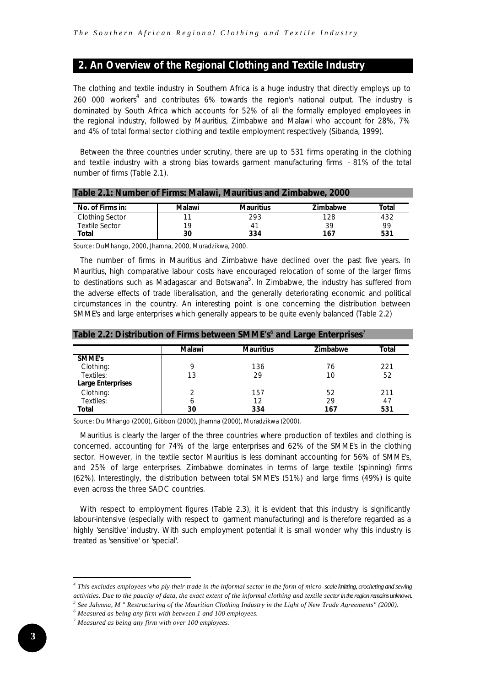# **2. An Overview of the Regional Clothing and Textile Industry**

The clothing and textile industry in Southern Africa is a huge industry that directly employs up to 260 000 workers<sup>4</sup> and contributes 6% towards the region's national output. The industry is dominated by South Africa which accounts for 52% of all the formally employed employees in the regional industry, followed by Mauritius, Zimbabwe and Malawi who account for 28%, 7% and 4% of total formal sector clothing and textile employment respectively (Sibanda, 1999).

Between the three countries under scrutiny, there are up to 531 firms operating in the clothing and textile industry with a strong bias towards garment manufacturing firms - 81% of the total number of firms (Table 2.1).

| Table 2.1: Number of Firms: Malawi, Mauritius and Zimbabwe, 2000 |        |                  |                 |       |  |  |  |
|------------------------------------------------------------------|--------|------------------|-----------------|-------|--|--|--|
| No. of Firms in:                                                 | Malawi | <b>Mauritius</b> | <b>Zimbabwe</b> | Total |  |  |  |
| <b>Clothing Sector</b>                                           |        | 293              | 128             | 432   |  |  |  |
| <b>Textile Sector</b>                                            | 19     | 41               | 39              | 99    |  |  |  |
| Total                                                            | 30     | 334              | 167             | 531   |  |  |  |

*Source*: DuMhango, 2000, Jhamna, 2000, Muradzikwa, 2000.

The number of firms in Mauritius and Zimbabwe have declined over the past five years. In Mauritius, high comparative labour costs have encouraged relocation of some of the larger firms to destinations such as Madagascar and Botswana<sup>5</sup>. In Zimbabwe, the industry has suffered from the adverse effects of trade liberalisation, and the generally deteriorating economic and political circumstances in the country. An interesting point is one concerning the distribution between SMME's and large enterprises which generally appears to be quite evenly balanced (Table 2.2)

| <u><b>The Milais And Indian Matrix And Andries And Milais And Milano</b> Milano</u> |               |                  |                 |       |  |  |
|-------------------------------------------------------------------------------------|---------------|------------------|-----------------|-------|--|--|
|                                                                                     | <b>Malawi</b> | <b>Mauritius</b> | <b>Zimbabwe</b> | Total |  |  |
| <b>SMME's</b>                                                                       |               |                  |                 |       |  |  |
| Clothing:                                                                           | q             | 136              | 76              | 221   |  |  |
| Textiles:                                                                           | 13            | 29               | 10              | 52    |  |  |
| <b>Large Enterprises</b>                                                            |               |                  |                 |       |  |  |
| Clothing:                                                                           | າ             | 157              | 52              | 211   |  |  |
| Textiles:                                                                           | 6             | 12               | 29              | 47    |  |  |
| Total                                                                               | 30            | 334              | 167             | 531   |  |  |

Table 2.2: Distribution of Firms between SMME's<sup>6</sup> and Large Enterprises<sup>7</sup>

*Source*: Du Mhango (2000), Gibbon (2000), Jhamna (2000), Muradzikwa (2000).

Mauritius is clearly the larger of the three countries where production of textiles and clothing is concerned, accounting for 74% of the large enterprises and 62% of the SMME's in the clothing sector. However, in the textile sector Mauritius is less dominant accounting for 56% of SMME's, and 25% of large enterprises. Zimbabwe dominates in terms of large textile (spinning) firms (62%). Interestingly, the distribution between total SMME's (51%) and large firms (49%) is quite even across the three SADC countries.

With respect to employment figures (Table 2.3), it is evident that this industry is significantly labour-intensive (especially with respect to garment manufacturing) and is therefore regarded as a highly 'sensitive' industry. With such employment potential it is small wonder why this industry is treated as 'sensitive' or 'special'.

*<sup>4</sup> This excludes employees who ply their trade in the informal sector in the form of micro-scale knitting, crocheting and sewing activities. Due to the paucity of data, the exact extent of the informal clothing and textile sector in the region remains unknown.*

*<sup>5</sup> See Jahmna, M " Restructuring of the Mauritian Clothing Industry in the Light of New Trade Agreements" (2000).*

*<sup>6</sup> Measured as being any firm with between 1 and 100 employees.*

*<sup>7</sup> Measured as being any firm with over 100 employees.*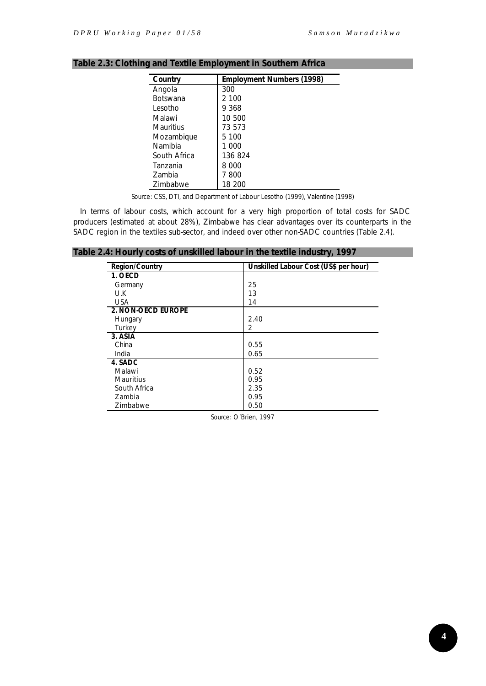| Country         | <b>Employment Numbers (1998)</b> |
|-----------------|----------------------------------|
| Angola          | 300                              |
| <b>Botswana</b> | 2 100                            |
| I esotho        | 9 368                            |
| Malawi          | 10 500                           |
| Mauritius       | 73 573                           |
| Mozambique      | 5 100                            |
| Namibia         | 1 000                            |
| South Africa    | 136824                           |
| Tanzania        | 8 000                            |
| <b>Zambia</b>   | 7800                             |
| Zimbabwe        | 18 200                           |

# **Table 2.3: Clothing and Textile Employment in Southern Africa**

*Source*: CSS, DTI, and Department of Labour Lesotho (1999), Valentine (1998)

In terms of labour costs, which account for a very high proportion of total costs for SADC producers (estimated at about 28%), Zimbabwe has clear advantages over its counterparts in the SADC region in the textiles sub-sector, and indeed over other non-SADC countries (Table 2.4).

#### **Table 2.4: Hourly costs of unskilled labour in the textile industry, 1997**

| <b>Region/Country</b>     | Unskilled Labour Cost (US\$ per hour) |
|---------------------------|---------------------------------------|
| 1. OECD                   |                                       |
| Germany                   | 25                                    |
| U.K                       | 13                                    |
| <b>USA</b>                | 14                                    |
| <b>2. NON-OECD EUROPE</b> |                                       |
| Hungary                   | 2.40                                  |
| Turkey                    | 2                                     |
| 3. ASIA                   |                                       |
| China                     | 0.55                                  |
| India                     | 0.65                                  |
| 4. SADC                   |                                       |
| Malawi                    | 0.52                                  |
| <b>Mauritius</b>          | 0.95                                  |
| South Africa              | 2.35                                  |
| Zambia                    | 0.95                                  |
| Zimbabwe                  | 0.50                                  |

*Source*: O'Brien, 1997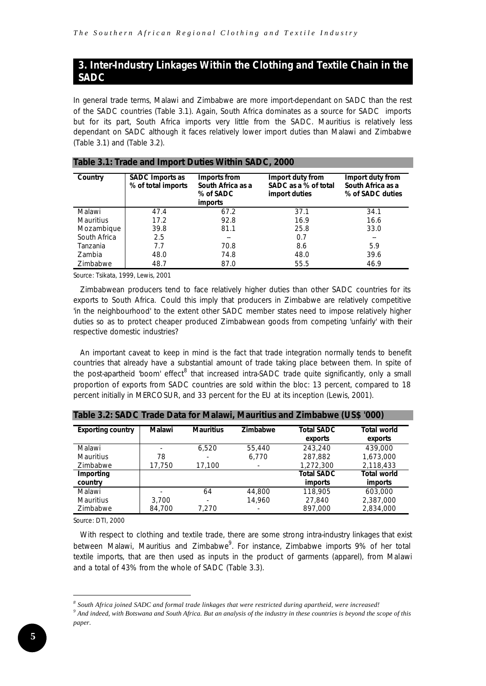# **3. Inter-Industry Linkages Within the Clothing and Textile Chain in the SADC**

In general trade terms, Malawi and Zimbabwe are more import-dependant on SADC than the rest of the SADC countries (Table 3.1). Again, South Africa dominates as a source for SADC imports but for its part, South Africa imports very little from the SADC. Mauritius is relatively less dependant on SADC although it faces relatively lower import duties than Malawi and Zimbabwe (Table 3.1) and (Table 3.2).

| Country          | <b>SADC Imports as</b><br>% of total imports | Imports from<br>South Africa as a<br>% of SADC<br><i>imports</i> | Import duty from<br>SADC as a % of total<br>import duties | Import duty from<br>South Africa as a<br>% of SADC duties |
|------------------|----------------------------------------------|------------------------------------------------------------------|-----------------------------------------------------------|-----------------------------------------------------------|
| Malawi           | 47.4                                         | 67.2                                                             | 37.1                                                      | 34.1                                                      |
| <b>Mauritius</b> | 17.2                                         | 92.8                                                             | 16.9                                                      | 16.6                                                      |
| Mozambique       | 39.8                                         | 81.1                                                             | 25.8                                                      | 33.0                                                      |
| South Africa     | 2.5                                          | --                                                               | 0.7                                                       | $\sim$ $\sim$                                             |
| Tanzania         | 7.7                                          | 70.8                                                             | 8.6                                                       | 5.9                                                       |
| Zambia           | 48.0                                         | 74.8                                                             | 48.0                                                      | 39.6                                                      |
| Zimbabwe         | 48.7                                         | 87.0                                                             | 55.5                                                      | 46.9                                                      |

#### **Table 3.1: Trade and Import Duties Within SADC, 2000**

*Source*: Tsikata, 1999, Lewis, 2001

Zimbabwean producers tend to face relatively higher duties than other SADC countries for its exports to South Africa. Could this imply that producers in Zimbabwe are relatively competitive 'in the neighbourhood' to the extent other SADC member states need to impose relatively higher duties so as to protect cheaper produced Zimbabwean goods from competing 'unfairly' with their respective domestic industries?

An important caveat to keep in mind is the fact that trade integration normally tends to benefit countries that already have a substantial amount of trade taking place between them. In spite of the post-apartheid 'boom' effect<sup>8</sup> that increased intra-SADC trade quite significantly, only a small proportion of exports from SADC countries are sold within the bloc: 13 percent, compared to 18 percent initially in MERCOSUR, and 33 percent for the EU at its inception (Lewis, 2001).

| Table 3.2: SADC Trade Data for Malawi, Mauritius and Zimbabwe (US\$ '000) |        |                  |          |                              |                               |  |  |
|---------------------------------------------------------------------------|--------|------------------|----------|------------------------------|-------------------------------|--|--|
| <b>Exporting country</b>                                                  | Malawi | <b>Mauritius</b> | Zimbabwe | <b>Total SADC</b><br>exports | <b>Total world</b><br>exports |  |  |
| Malawi                                                                    |        | 6.520            | 55,440   | 243,240                      | 439,000                       |  |  |
| <b>Mauritius</b>                                                          | 78     |                  | 6.770    | 287.882                      | 1.673.000                     |  |  |
| Zimbabwe                                                                  | 17,750 | 17,100           |          | 1,272,300                    | 2.118.433                     |  |  |
| <b>Importing</b>                                                          |        |                  |          | <b>Total SADC</b>            | <b>Total world</b>            |  |  |
| country                                                                   |        |                  |          | <i>imports</i>               | <i>imports</i>                |  |  |
| Malawi                                                                    |        | 64               | 44,800   | 118,905                      | 603,000                       |  |  |
| <b>Mauritius</b>                                                          | 3.700  |                  | 14.960   | 27,840                       | 2,387,000                     |  |  |
| Zimbabwe                                                                  | 84,700 | 7.270            |          | 897.000                      | 2.834.000                     |  |  |

**Table 3.2: SADC Trade Data for Malawi, Mauritius and Zimbabwe (US\$ '000)**

*Source*: DTI, 2000

l

With respect to clothing and textile trade, there are some strong intra-industry linkages that exist between Malawi, Mauritius and Zimbabwe<sup>9</sup>. For instance, Zimbabwe imports 9% of her total textile imports, that are then used as inputs in the product of garments (apparel), from Malawi and a total of 43% from the whole of SADC (Table 3.3).

*<sup>8</sup> South Africa joined SADC and formal trade linkages that were restricted during apartheid, were increased!*

<sup>&</sup>lt;sup>9</sup> And indeed, with Botswana and South Africa. But an analysis of the industry in these countries is beyond the scope of this *paper.*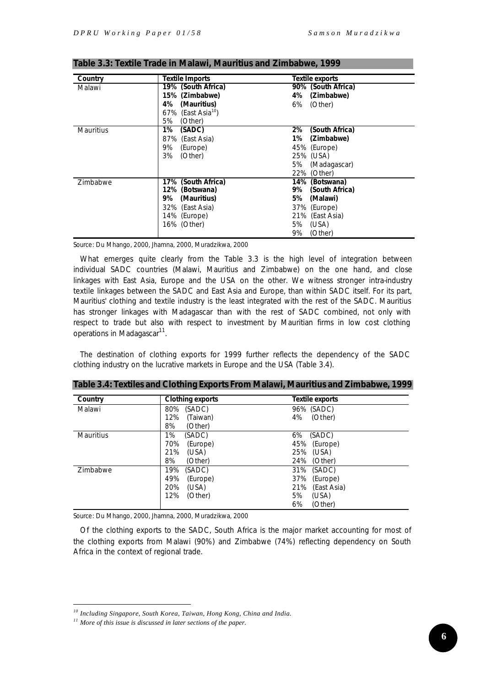| Country          | <b>Textile Imports</b>         | <b>Textile exports</b> |
|------------------|--------------------------------|------------------------|
| Malawi           | 19% (South Africa)             | 90% (South Africa)     |
|                  | 15% (Zimbabwe)                 | 4% (Zimbabwe)          |
|                  | (Mauritius)<br>4%              | 6% (Other)             |
|                  | 67% (East Asia <sup>10</sup> ) |                        |
|                  | (Other)<br>5%                  |                        |
| <b>Mauritius</b> | 1%<br>(SADC)                   | (South Africa)<br>2%   |
|                  | 87% (East Asia)                | (Zimbabwe)<br>1%       |
|                  | 9%<br>(Europe)                 | 45% (Europe)           |
|                  | 3%<br>(Other)                  | 25% (USA)              |
|                  |                                | 5% (Madagascar)        |
|                  |                                | 22% (Other)            |
| Zimbabwe         | 17% (South Africa)             | 14% (Botswana)         |
|                  | 12% (Botswana)                 | 9% (South Africa)      |
|                  | (Mauritius)<br>9%              | (Malawi)<br>5%         |
|                  | 32% (East Asia)                | 37% (Europe)           |
|                  | 14% (Europe)                   | 21% (East Asia)        |
|                  | 16% (Other)                    | 5% (USA)               |
|                  |                                | (Other)<br>9%          |

**Table 3.3: Textile Trade in Malawi, Mauritius and Zimbabwe, 1999**

*Source*: Du Mhango, 2000, Jhamna, 2000, Muradzikwa, 2000

What emerges quite clearly from the Table 3.3 is the high level of integration between individual SADC countries (Malawi, Mauritius and Zimbabwe) on the one hand, and close linkages with East Asia, Europe and the USA on the other. We witness stronger intra-industry textile linkages between the SADC and East Asia and Europe, than within SADC itself. For its part, Mauritius' clothing and textile industry is the least integrated with the rest of the SADC. Mauritius has stronger linkages with Madagascar than with the rest of SADC combined, not only with respect to trade but also with respect to investment by Mauritian firms in low cost clothing operations in Madagascar<sup>11</sup>.

The destination of clothing exports for 1999 further reflects the dependency of the SADC clothing industry on the lucrative markets in Europe and the USA (Table 3.4).

| Country          | <b>Clothing exports</b>                                            | <b>Textile exports</b>                                                                 |
|------------------|--------------------------------------------------------------------|----------------------------------------------------------------------------------------|
| Malawi           | (SADC)<br>80%<br>12%<br>(Taiwan)<br>8%<br>(Other)                  | 96% (SADC)<br>4%<br>(Other)                                                            |
| <b>Mauritius</b> | 1%<br>(SADC)<br>70%<br>(Europe)<br>21%<br>(USA)<br>8%<br>(Other)   | 6%<br>(SADC)<br>45%<br>(Europe)<br>25%<br>(USA)<br>24%<br>(Other)                      |
| Zimbabwe         | 19%<br>(SADC)<br>49%<br>(Europe)<br>(USA)<br>20%<br>12%<br>(Other) | (SADC)<br>31%<br>37%<br>(Europe)<br>21%<br>(East Asia)<br>5%<br>(USA)<br>6%<br>(Other) |

**Table 3.4: Textiles and Clothing Exports From Malawi, Mauritius and Zimbabwe, 1999**

*Source*: Du Mhango, 2000, Jhamna, 2000, Muradzikwa, 2000

Of the clothing exports to the SADC, South Africa is the major market accounting for most of the clothing exports from Malawi (90%) and Zimbabwe (74%) reflecting dependency on South Africa in the context of regional trade.

*<sup>10</sup> Including Singapore, South Korea, Taiwan, Hong Kong, China and India.*

*<sup>11</sup> More of this issue is discussed in later sections of the paper.*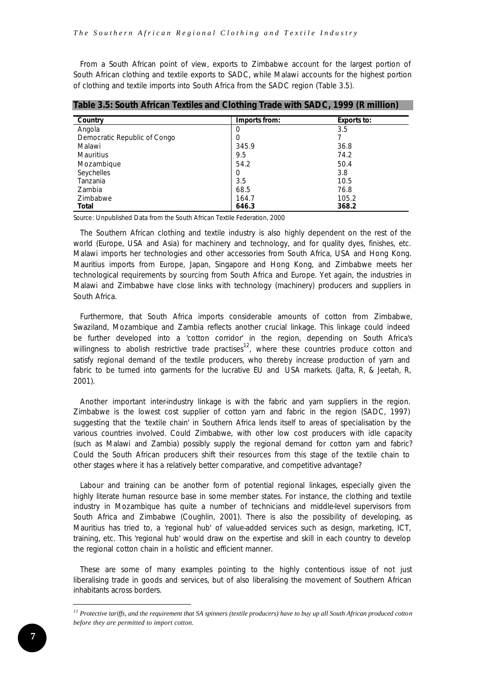From a South African point of view, exports to Zimbabwe account for the largest portion of South African clothing and textile exports to SADC, while Malawi accounts for the highest portion of clothing and textile imports into South Africa from the SADC region (Table 3.5).

| Country                      | Imports from: | <b>Exports to:</b> |
|------------------------------|---------------|--------------------|
| Angola                       | 0             | 3.5                |
| Democratic Republic of Congo | 0             |                    |
| Malawi                       | 345.9         | 36.8               |
| <b>Mauritius</b>             | 9.5           | 74.2               |
| Mozambique                   | 54.2          | 50.4               |
| Seychelles                   | 0             | 3.8                |
| Tanzania                     | 3.5           | 10.5               |
| Zambia                       | 68.5          | 76.8               |
| Zimbabwe                     | 164.7         | 105.2              |
| <b>Total</b>                 | 646.3         | 368.2              |

| Table 3.5: South African Textiles and Clothing Trade with SADC, 1999 (R million) |  |  |  |  |  |  |
|----------------------------------------------------------------------------------|--|--|--|--|--|--|
|----------------------------------------------------------------------------------|--|--|--|--|--|--|

*Source*: Unpublished Data from the South African Textile Federation, 2000

The Southern African clothing and textile industry is also highly dependent on the rest of the world (Europe, USA and Asia) for machinery and technology, and for quality dyes, finishes, etc. Malawi imports her technologies and other accessories from South Africa, USA and Hong Kong. Mauritius imports from Europe, Japan, Singapore and Hong Kong, and Zimbabwe meets her technological requirements by sourcing from South Africa and Europe. Yet again, the industries in Malawi and Zimbabwe have close links with technology (machinery) producers and suppliers in South Africa.

Furthermore, that South Africa imports considerable amounts of cotton from Zimbabwe, Swaziland, Mozambique and Zambia reflects another crucial linkage. This linkage could indeed be further developed into a 'cotton corridor' in the region, depending on South Africa's willingness to abolish restrictive trade practises<sup>12</sup>, where these countries produce cotton and satisfy regional demand of the textile producers, who thereby increase production of yarn and fabric to be turned into garments for the lucrative EU and USA markets. (Jafta, R, & Jeetah, R, 2001).

Another important inter-industry linkage is with the fabric and yarn suppliers in the region. Zimbabwe is the lowest cost supplier of cotton yarn and fabric in the region (SADC, 1997) suggesting that the 'textile chain' in Southern Africa lends itself to areas of specialisation by the various countries involved. Could Zimbabwe, with other low cost producers with idle capacity (such as Malawi and Zambia) possibly supply the regional demand for cotton yarn and fabric? Could the South African producers shift their resources from this stage of the textile chain to other stages where it has a relatively better comparative, and competitive advantage?

Labour and training can be another form of potential regional linkages, especially given the highly literate human resource base in some member states. For instance, the clothing and textile industry in Mozambique has quite a number of technicians and middle-level supervisors from South Africa and Zimbabwe (Coughlin, 2001). There is also the possibility of developing, as Mauritius has tried to, a 'regional hub' of value-added services such as design, marketing, ICT, training, etc. This 'regional hub' would draw on the expertise and skill in each country to develop the regional cotton chain in a holistic and efficient manner.

These are some of many examples pointing to the highly contentious issue of not just liberalising trade in goods and services, but of also liberalising the movement of Southern African inhabitants across borders.

*<sup>12</sup> Protective tariffs, and the requirement that SA spinners (textile producers) have to buy up all South African produced cotton before they are permitted to import cotton.*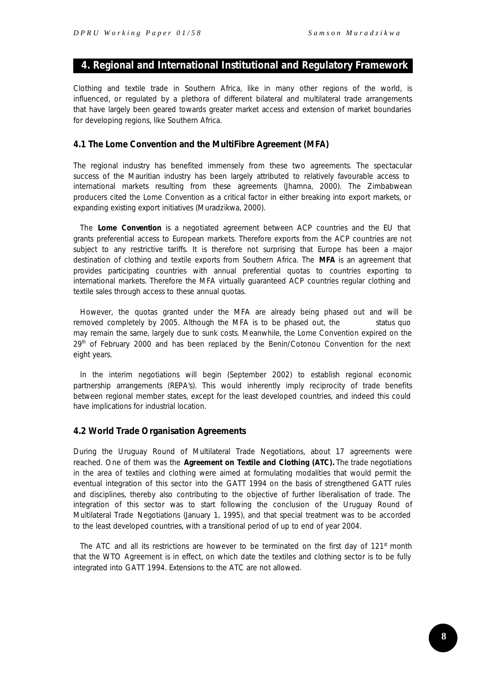# **4. Regional and International Institutional and Regulatory Framework**

Clothing and textile trade in Southern Africa, like in many other regions of the world, is influenced, or regulated by a plethora of different bilateral and multilateral trade arrangements that have largely been geared towards greater market access and extension of market boundaries for developing regions, like Southern Africa.

#### **4.1 The Lome Convention and the MultiFibre Agreement (MFA)**

The regional industry has benefited immensely from these two agreements. The spectacular success of the Mauritian industry has been largely attributed to relatively favourable access to international markets resulting from these agreements (Jhamna, 2000). The Zimbabwean producers cited the Lome Convention as a critical factor in either breaking into export markets, or expanding existing export initiatives (Muradzikwa, 2000).

The *Lome Convention* is a negotiated agreement between ACP countries and the EU that grants preferential access to European markets. Therefore exports from the ACP countries are not subject to any restrictive tariffs. It is therefore not surprising that Europe has been a major destination of clothing and textile exports from Southern Africa. The *MFA* is an agreement that provides participating countries with annual preferential quotas to countries exporting to international markets. Therefore the MFA virtually guaranteed ACP countries regular clothing and textile sales through access to these annual quotas.

However, the quotas granted under the MFA are already being phased out and will be removed completely by 2005. Although the MFA is to be phased out, the status quo may remain the same, largely due to sunk costs. Meanwhile, the Lome Convention expired on the  $29<sup>th</sup>$  of February 2000 and has been replaced by the Benin/Cotonou Convention for the next eight years.

In the interim negotiations will begin (September 2002) to establish regional economic partnership arrangements (REPA's). This would inherently imply reciprocity of trade benefits between regional member states, except for the least developed countries, and indeed this could have implications for industrial location.

#### **4.2 World Trade Organisation Agreements**

During the Uruguay Round of Multilateral Trade Negotiations, about 17 agreements were reached. One of them was the *Agreement on Textile and Clothing (ATC).* The trade negotiations in the area of textiles and clothing were aimed at formulating modalities that would permit the eventual integration of this sector into the GATT 1994 on the basis of strengthened GATT rules and disciplines, thereby also contributing to the objective of further liberalisation of trade. The integration of this sector was to start following the conclusion of the Uruguay Round of Multilateral Trade Negotiations (January 1, 1995), and that special treatment was to be accorded to the least developed countries, with a transitional period of up to end of year 2004.

The ATC and all its restrictions are however to be terminated on the first day of  $121<sup>st</sup>$  month that the WTO Agreement is in effect, on which date the textiles and clothing sector is to be fully integrated into GATT 1994. Extensions to the ATC are not allowed.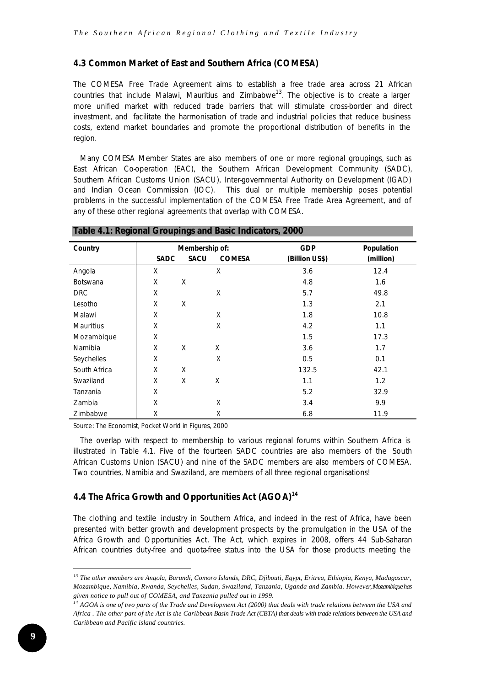# **4.3 Common Market of East and Southern Africa (COMESA)**

The COMESA Free Trade Agreement aims to establish a free trade area across 21 African countries that include Malawi, Mauritius and Zimbabwe<sup>13</sup>. The objective is to create a larger more unified market with reduced trade barriers that will stimulate cross-border and direct investment, and facilitate the harmonisation of trade and industrial policies that reduce business costs, extend market boundaries and promote the proportional distribution of benefits in the region.

Many COMESA Member States are also members of one or more regional groupings, such as East African Co-operation (EAC), the Southern African Development Community (SADC), Southern African Customs Union (SACU), Inter-governmental Authority on Development (IGAD) and Indian Ocean Commission (IOC). This dual or multiple membership poses potential problems in the successful implementation of the COMESA Free Trade Area Agreement, and of any of these other regional agreements that overlap with COMESA.

| Country          | Membership of: |             | <b>GDP</b>    | Population     |           |
|------------------|----------------|-------------|---------------|----------------|-----------|
|                  | <b>SADC</b>    | <b>SACU</b> | <b>COMESA</b> | (Billion US\$) | (million) |
| Angola           | X              |             | X             | 3.6            | 12.4      |
| <b>Botswana</b>  | X              | X           |               | 4.8            | 1.6       |
| <b>DRC</b>       | X              |             | X             | 5.7            | 49.8      |
| Lesotho          | X              | X           |               | 1.3            | 2.1       |
| Malawi           | X              |             | X             | 1.8            | 10.8      |
| <b>Mauritius</b> | X              |             | X             | 4.2            | 1.1       |
| Mozambique       | X              |             |               | 1.5            | 17.3      |
| Namibia          | X              | X           | X             | 3.6            | 1.7       |
| Seychelles       | X              |             | X             | 0.5            | 0.1       |
| South Africa     | X              | X           |               | 132.5          | 42.1      |
| Swaziland        | X              | X           | Χ             | 1.1            | 1.2       |
| Tanzania         | X              |             |               | 5.2            | 32.9      |
| Zambia           | X              |             | X             | 3.4            | 9.9       |
| Zimbabwe         | Χ              |             | Χ             | 6.8            | 11.9      |

#### **Table 4.1: Regional Groupings and Basic Indicators, 2000**

*Source*: The Economist, Pocket World in Figures, 2000

The overlap with respect to membership to various regional forums within Southern Africa is illustrated in Table 4.1. Five of the fourteen SADC countries are also members of the South African Customs Union (SACU) and nine of the SADC members are also members of COMESA. Two countries, Namibia and Swaziland, are members of all three regional organisations!

# **4.4 The Africa Growth and Opportunities Act (AGOA)***<sup>14</sup>*

The clothing and textile industry in Southern Africa, and indeed in the rest of Africa, have been presented with better growth and development prospects by the promulgation in the USA of the Africa Growth and Opportunities Act. The Act, which expires in 2008, offers 44 Sub-Saharan African countries duty-free and quota-free status into the USA for those products meeting the

*<sup>13</sup> The other members are Angola, Burundi, Comoro Islands, DRC, Djibouti, Egypt, Eritrea, Ethiopia, Kenya, Madagascar, Mozambique, Namibia, Rwanda, Seychelles, Sudan, Swaziland, Tanzania, Uganda and Zambia. However, Mozambique has given notice to pull out of COMESA, and Tanzania pulled out in 1999.*

*<sup>14</sup> AGOA is one of two parts of the Trade and Development Act (2000) that deals with trade relations between the USA and Africa . The other part of the Act is the Caribbean Basin Trade Act (CBTA) that deals with trade relations between the USA and Caribbean and Pacific island countries.*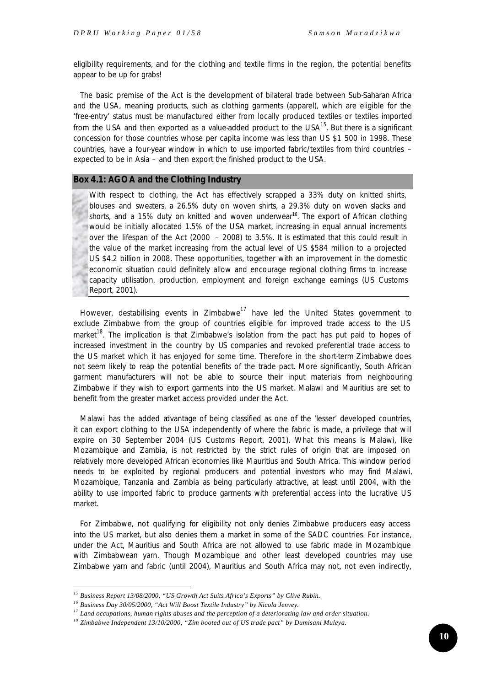eligibility requirements, and for the clothing and textile firms in the region, the potential benefits appear to be up for grabs!

The basic premise of the Act is the development of bilateral trade between Sub-Saharan Africa and the USA, meaning products, such as clothing garments (apparel), which are eligible for the 'free-entry' status must be manufactured either from locally produced textiles or textiles imported from the USA and then exported as a value-added product to the USA $<sup>15</sup>$ . But there is a significant</sup> concession for those countries whose per capita income was less than US \$1 500 in 1998. These countries, have a four-year window in which to use imported fabric/textiles from third countries – expected to be in Asia – and then export the finished product to the USA.

#### **Box 4.1: AGOA and the Clothing Industry**

With respect to clothing, the Act has effectively scrapped a 33% duty on knitted shirts, blouses and sweaters, a 26.5% duty on woven shirts, a 29.3% duty on woven slacks and shorts, and a 15% duty on knitted and woven underwear<sup>16</sup>. The export of African clothing would be initially allocated 1.5% of the USA market, increasing in equal annual increments over the lifespan of the Act (2000 – 2008) to 3.5%. It is estimated that this could result in the value of the market increasing from the actual level of US \$584 million to a projected US \$4.2 billion in 2008. These opportunities, together with an improvement in the domestic economic situation could definitely allow and encourage regional clothing firms to increase capacity utilisation, production, employment and foreign exchange earnings (US Customs Report, 2001).

However, destabilising events in  $Z$ imbabwe<sup>17</sup> have led the United States government to exclude Zimbabwe from the group of countries eligible for improved trade access to the US market<sup>18</sup>. The implication is that Zimbabwe's isolation from the pact has put paid to hopes of increased investment in the country by US companies and revoked preferential trade access to the US market which it has enjoyed for some time. Therefore in the short-term Zimbabwe does not seem likely to reap the potential benefits of the trade pact. More significantly, South African garment manufacturers will not be able to source their input materials from neighbouring Zimbabwe if they wish to export garments into the US market. Malawi and Mauritius are set to benefit from the greater market access provided under the Act.

Malawi has the added advantage of being classified as one of the 'lesser' developed countries, it can export clothing to the USA independently of where the fabric is made, a privilege that will expire on 30 September 2004 (US Customs Report, 2001). What this means is Malawi, like Mozambique and Zambia, is not restricted by the strict rules of origin that are imposed on relatively more developed African economies like Mauritius and South Africa. This window period needs to be exploited by regional producers and potential investors who may find Malawi, Mozambique, Tanzania and Zambia as being particularly attractive, at least until 2004, with the ability to use imported fabric to produce garments with preferential access into the lucrative US market.

For Zimbabwe, not qualifying for eligibility not only denies Zimbabwe producers easy access into the US market, but also denies them a market in some of the SADC countries. For instance, under the Act, Mauritius and South Africa are not allowed to use fabric made in Mozambique with Zimbabwean yarn. Though Mozambique and other least developed countries may use Zimbabwe yarn and fabric (until 2004), Mauritius and South Africa may not, not even indirectly,

*<sup>15</sup> Business Report 13/08/2000, "US Growth Act Suits Africa's Exports" by Clive Rubin.*

*<sup>16</sup> Business Day 30/05/2000, "Act Will Boost Textile Industry" by Nicola Jenvey.*

*<sup>17</sup> Land occupations, human rights abuses and the perception of a deteriorating law and order situation.*

*<sup>18</sup> Zimbabwe Independent 13/10/2000, "Zim booted out of US trade pact" by Dumisani Muleya.*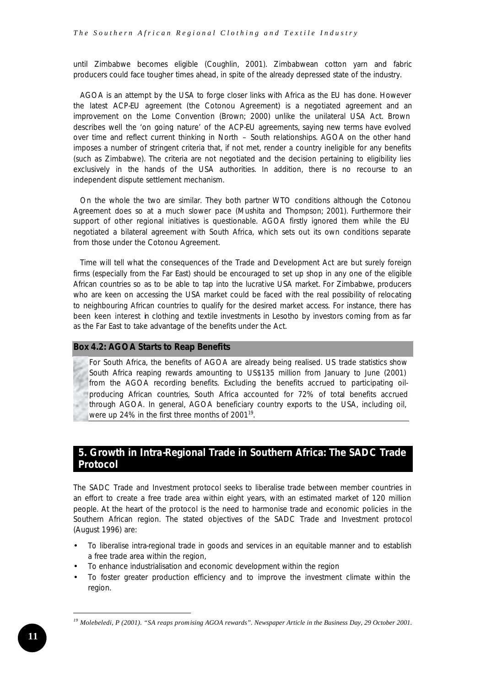until Zimbabwe becomes eligible (Coughlin, 2001). Zimbabwean cotton yarn and fabric producers could face tougher times ahead, in spite of the already depressed state of the industry.

AGOA is an attempt by the USA to forge closer links with Africa as the EU has done. However the latest ACP-EU agreement (the Cotonou Agreement) is a negotiated agreement and an improvement on the Lome Convention (Brown; 2000) unlike the unilateral USA Act. Brown describes well the 'on going nature' of the ACP-EU agreements, saying new terms have evolved over time and reflect current thinking in North – South relationships. AGOA on the other hand imposes a number of stringent criteria that, if not met, render a country ineligible for any benefits (such as Zimbabwe). The criteria are not negotiated and the decision pertaining to eligibility lies exclusively in the hands of the USA authorities. In addition, there is no recourse to an independent dispute settlement mechanism.

On the whole the two are similar. They both partner WTO conditions although the Cotonou Agreement does so at a much slower pace (Mushita and Thompson; 2001). Furthermore their support of other regional initiatives is questionable. AGOA firstly ignored them while the EU negotiated a bilateral agreement with South Africa, which sets out its own conditions separate from those under the Cotonou Agreement.

Time will tell what the consequences of the Trade and Development Act are but surely foreign firms (especially from the Far East) should be encouraged to set up shop in any one of the eligible African countries so as to be able to tap into the lucrative USA market. For Zimbabwe, producers who are keen on accessing the USA market could be faced with the real possibility of relocating to neighbouring African countries to qualify for the desired market access. For instance, there has been keen interest in clothing and textile investments in Lesotho by investors coming from as far as the Far East to take advantage of the benefits under the Act.

#### **Box 4.2: AGOA Starts to Reap Benefits**

For South Africa, the benefits of AGOA are already being realised. US trade statistics show South Africa reaping rewards amounting to US\$135 million from January to June (2001) from the AGOA recording benefits. Excluding the benefits accrued to participating oilproducing African countries, South Africa accounted for 72% of total benefits accrued through AGOA. In general, AGOA beneficiary country exports to the USA, including oil, were up 24% in the first three months of 2001<sup>19</sup>.

# **5. Growth in Intra-Regional Trade in Southern Africa: The SADC Trade Protocol**

The SADC Trade and Investment protocol seeks to liberalise trade between member countries in an effort to create a free trade area within eight years, with an estimated market of 120 million people. At the heart of the protocol is the need to harmonise trade and economic policies in the Southern African region. The stated objectives of the SADC Trade and Investment protocol (August 1996) are:

- To liberalise intra-regional trade in goods and services in an equitable manner and to establish a free trade area within the region,
- To enhance industrialisation and economic development within the region
- To foster greater production efficiency and to improve the investment climate within the region.

*<sup>19</sup> Molebeledi, P (2001). "SA reaps promising AGOA rewards". Newspaper Article in the Business Day, 29 October 2001.*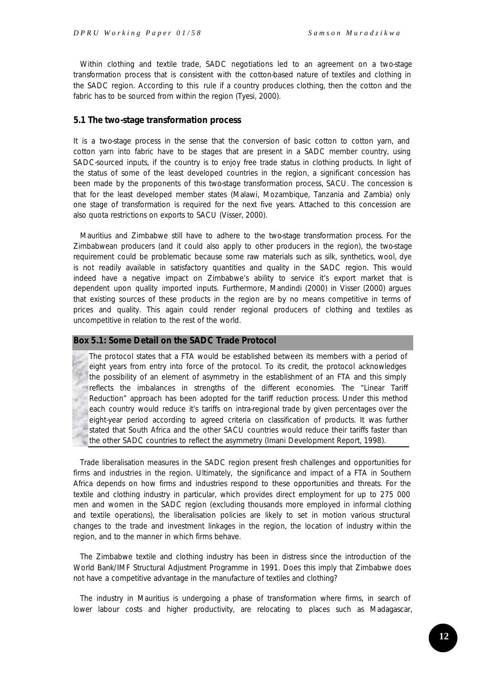Within clothing and textile trade, SADC negotiations led to an agreement on a *two-stage transformation* process that is consistent with the cotton-based nature of textiles and clothing in the SADC region. According to this *rule* if a country produces clothing, then the cotton and the fabric has to be sourced from within the region (Tyesi, 2000).

#### **5.1 The two-stage transformation process**

It is a two-stage process in the sense that the conversion of basic cotton to cotton yarn, and cotton yarn into fabric have to be stages that are present in a SADC member country, using SADC-sourced inputs, if the country is to enjoy free trade status in clothing products. In light of the status of some of the least developed countries in the region, a significant concession has been made by the proponents of this two-stage transformation process, SACU. The concession is that for the least developed member states (Malawi, Mozambique, Tanzania and Zambia) only one stage of transformation is required for the next five years. Attached to this concession are also quota restrictions on exports to SACU (Visser, 2000).

Mauritius and Zimbabwe still have to adhere to the two-stage transformation process. For the Zimbabwean producers (and it could also apply to other producers in the region), the two-stage requirement could be problematic because some raw materials such as silk, synthetics, wool, dye is not readily available in satisfactory quantities and quality in the SADC region. This would indeed have a negative impact on Zimbabwe's ability to service it's export market that is dependent upon quality imported inputs. Furthermore, Mandindi (2000) in Visser (2000) argues that existing sources of these products in the region are by no means competitive in terms of prices and quality. This again could render regional producers of clothing and textiles as uncompetitive in relation to the rest of the world.

#### **Box 5.1: Some Detail on the SADC Trade Protocol**

The protocol states that a FTA would be established between its members with a period of eight years from entry into force of the protocol. To its credit, the protocol acknowledges the possibility of an element of asymmetry in the establishment of an FTA and this simply reflects the imbalances in strengths of the different economies. The "Linear Tariff Reduction" approach has been adopted for the tariff reduction process. Under this method each country would reduce it's tariffs on intra-regional trade by given percentages over the eight-year period according to agreed criteria on classification of products. It was further stated that South Africa and the other SACU countries would reduce their tariffs faster than the other SADC countries to reflect the asymmetry (Imani Development Report, 1998).

Trade liberalisation measures in the SADC region present fresh challenges and opportunities for firms and industries in the region. Ultimately, the significance and impact of a FTA in Southern Africa depends on how firms and industries respond to these opportunities and threats. For the textile and clothing industry in particular, which provides direct employment for up to 275 000 men and women in the SADC region (excluding thousands more employed in informal clothing and textile operations), the liberalisation policies are likely to set in motion various structural changes to the trade and investment linkages in the region, the location of industry within the region, and to the manner in which firms behave.

The Zimbabwe textile and clothing industry has been in distress since the introduction of the World Bank/IMF Structural Adjustment Programme in 1991. Does this imply that Zimbabwe does not have a competitive advantage in the manufacture of textiles and clothing?

The industry in Mauritius is undergoing a phase of transformation where firms, in search of lower labour costs and higher productivity, are relocating to places such as Madagascar,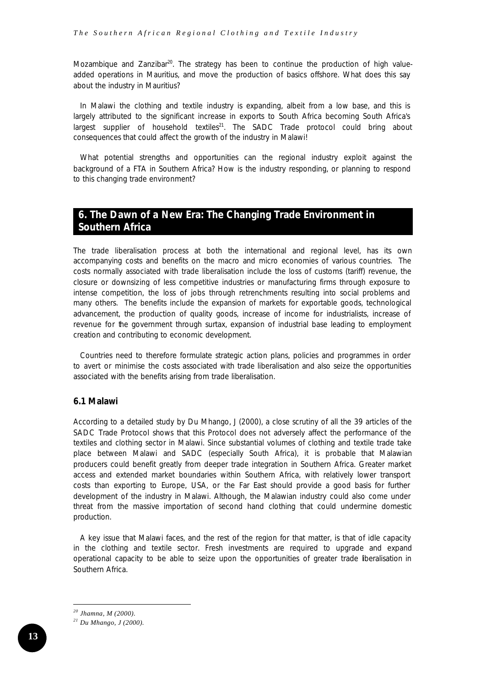Mozambique and Zanzibar $20$ . The strategy has been to continue the production of high valueadded operations in Mauritius, and move the production of basics offshore. What does this say about the industry in Mauritius?

In Malawi the clothing and textile industry is expanding, albeit from a low base, and this is largely attributed to the significant increase in exports to South Africa becoming South Africa's largest supplier of household textiles $^{21}$ . The SADC Trade protocol could bring about consequences that could affect the growth of the industry in Malawi!

What potential strengths and opportunities can the regional industry exploit against the background of a FTA in Southern Africa? How is the industry responding, or planning to respond to this changing trade environment?

# **6. The Dawn of a New Era: The Changing Trade Environment in Southern Africa**

The trade liberalisation process at both the international and regional level, has its own accompanying costs and benefits on the macro and micro economies of various countries. The costs normally associated with trade liberalisation include the loss of customs (tariff) revenue, the closure or downsizing of less competitive industries or manufacturing firms through exposure to intense competition, the loss of jobs through retrenchments resulting into social problems and many others. The benefits include the expansion of markets for exportable goods, technological advancement, the production of quality goods, increase of income for industrialists, increase of revenue for the government through surtax, expansion of industrial base leading to employment creation and contributing to economic development.

Countries need to therefore formulate strategic action plans, policies and programmes in order to avert or minimise the costs associated with trade liberalisation and also seize the opportunities associated with the benefits arising from trade liberalisation.

#### **6.1 Malawi**

According to a detailed study by Du Mhango, J (2000), a close scrutiny of all the 39 articles of the SADC Trade Protocol shows that this Protocol does not adversely affect the performance of the textiles and clothing sector in Malawi. Since substantial volumes of clothing and textile trade take place between Malawi and SADC (especially South Africa), it is probable that Malawian producers could benefit greatly from deeper trade integration in Southern Africa. Greater market access and extended market boundaries within Southern Africa, with relatively lower transport costs than exporting to Europe, USA, or the Far East should provide a good basis for further development of the industry in Malawi. Although, the Malawian industry could also come under threat from the massive importation of second hand clothing that could undermine domestic production.

A key issue that Malawi faces, and the rest of the region for that matter, is that of idle capacity in the clothing and textile sector. Fresh investments are required to upgrade and expand operational capacity to be able to seize upon the opportunities of greater trade liberalisation in Southern Africa.

*<sup>20</sup> Jhamna, M (2000).*

*<sup>21</sup> Du Mhango, J (2000).*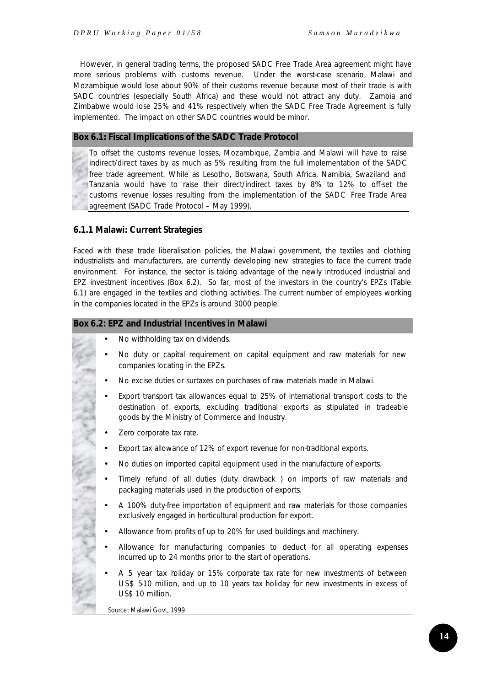However, in general trading terms, the proposed SADC Free Trade Area agreement might have more serious problems with customs revenue. Under the worst-case scenario, Malawi and Mozambique would lose about 90% of their customs revenue because most of their trade is with SADC countries (especially South Africa) and these would not attract any duty. Zambia and Zimbabwe would lose 25% and 41% respectively when the SADC Free Trade Agreement is fully implemented. The impact on other SADC countries would be minor.

# **Box 6.1: Fiscal Implications of the SADC Trade Protocol**

To offset the customs revenue losses, Mozambique, Zambia and Malawi will have to raise indirect/direct taxes by as much as 5% resulting from the full implementation of the SADC free trade agreement. While as Lesotho, Botswana, South Africa, Namibia, Swaziland and Tanzania would have to raise their direct/indirect taxes by 8% to 12% to off-set the customs revenue losses resulting from the implementation of the SADC Free Trade Area agreement (SADC Trade Protocol – May 1999).

# *6.1.1 Malawi: Current Strategies*

Faced with these trade liberalisation policies, the Malawi government, the textiles and clothing industrialists and manufacturers, are currently developing new strategies to face the current trade environment. For instance, the sector is taking advantage of the newly introduced industrial and EPZ investment incentives (Box 6.2). So far, most of the investors in the country's EPZs (Table 6.1) are engaged in the textiles and clothing activities. The current number of employees working in the companies located in the EPZs is around 3000 people.

# **Box 6.2: EPZ and Industrial Incentives in Malawi**

- No withholding tax on dividends.
- No duty or capital requirement on capital equipment and raw materials for new companies locating in the EPZs.
- No excise duties or surtaxes on purchases of raw materials made in Malawi.
- Export transport tax allowances equal to 25% of international transport costs to the destination of exports, excluding traditional exports as stipulated in tradeable goods by the Ministry of Commerce and Industry.
- Zero corporate tax rate.

- Export tax allowance of 12% of export revenue for non-traditional exports.
- No duties on imported capital equipment used in the manufacture of exports.
- Timely refund of all duties (duty drawback ) on imports of raw materials and packaging materials used in the production of exports.
- A 100% duty-free importation of equipment and raw materials for those companies exclusively engaged in horticultural production for export.
- Allowance from profits of up to 20% for used buildings and machinery.
- Allowance for manufacturing companies to deduct for all operating expenses incurred up to 24 months prior to the start of operations.
- A 5 year tax holiday or 15% corporate tax rate for new investments of between US\$ 510 million, and up to 10 years tax holiday for new investments in excess of US\$ 10 million.

*Source*: Malawi Govt, 1999.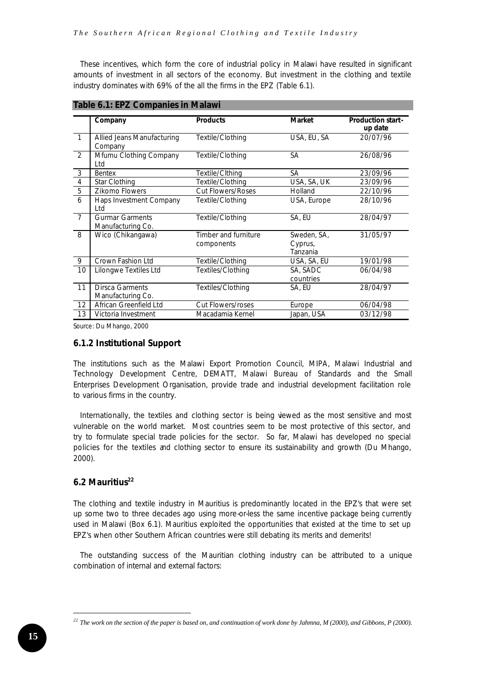These incentives, which form the core of industrial policy in Malawi have resulted in significant amounts of investment in all sectors of the economy. But investment in the clothing and textile industry dominates with 69% of the all the firms in the EPZ (Table 6.1).

|                | Company                                     | <b>Products</b>                    | <b>Market</b>                      | <b>Production start-</b><br>up date |
|----------------|---------------------------------------------|------------------------------------|------------------------------------|-------------------------------------|
| $\mathbf{1}$   | Allied Jeans Manufacturing<br>Company       | Textile/Clothing                   | USA, EU, SA                        | 20/07/96                            |
| $\overline{2}$ | Mfumu Clothing Company<br>Ltd               | Textile/Clothing                   | SА                                 | 26/08/96                            |
| $\overline{3}$ | <b>Bentex</b>                               | Textile/Cithing                    | SА                                 | 23/09/96                            |
| 4              | <b>Star Clothing</b>                        | Textile/Clothing                   | USA, SA, UK                        | 23/09/96                            |
| 5              | <b>Zikomo Flowers</b>                       | <b>Cut Flowers/Roses</b>           | Holland                            | 22/10/96                            |
| 6              | Haps Investment Company<br>Ltd              | Textile/Clothing                   | USA, Europe                        | 28/10/96                            |
| $\overline{7}$ | <b>Gurmar Garments</b><br>Manufacturing Co. | Textile/Clothing                   | SA, EU                             | 28/04/97                            |
| 8              | Wico (Chikangawa)                           | Timber and furniture<br>components | Sweden, SA,<br>Cyprus,<br>Tanzania | 31/05/97                            |
| 9              | Crown Fashion Ltd                           | Textile/Clothing                   | USA, SA, EU                        | 19/01/98                            |
| 10             | Lilongwe Textiles Ltd                       | Textiles/Clothing                  | SA, SADC<br>countries              | 06/04/98                            |
| 11             | <b>Dirsca Garments</b><br>Manufacturing Co. | Textiles/Clothing                  | SA, EU                             | 28/04/97                            |
| 12             | African Greenfield Ltd                      | <b>Cut Flowers/roses</b>           | Europe                             | 06/04/98                            |
| 13             | Victoria Investment                         | Macadamia Kernel                   | Japan, USA                         | 03/12/98                            |

**Table 6.1: EPZ Companies in Malawi**

*Source*: Du Mhango, 2000

## *6.1.2 Institutional Support*

The institutions such as the Malawi Export Promotion Council, MIPA, Malawi Industrial and Technology Development Centre, DEMATT, Malawi Bureau of Standards and the Small Enterprises Development Organisation, provide trade and industrial development facilitation role to various firms in the country.

Internationally, the textiles and clothing sector is being viewed as the most sensitive and most vulnerable on the world market. Most countries seem to be most protective of this sector, and try to formulate special trade policies for the sector. So far, Malawi has developed no special policies for the textiles and clothing sector to ensure its sustainability and growth (Du Mhango, 2000).

# **6.2 Mauritius<sup>22</sup>**

The clothing and textile industry in Mauritius is predominantly located in the EPZ's that were set up some two to three decades ago using more-or-less the same incentive package being currently used in Malawi (Box 6.1). Mauritius exploited the opportunities that existed at the time to set up EPZ's when other Southern African countries were still debating its merits and demerits!

The outstanding success of the Mauritian clothing industry can be attributed to a unique combination of internal and external factors:

*<sup>22</sup> The work on the section of the paper is based on, and continuation of work done by Jahmna, M (2000), and Gibbons, P (2000).*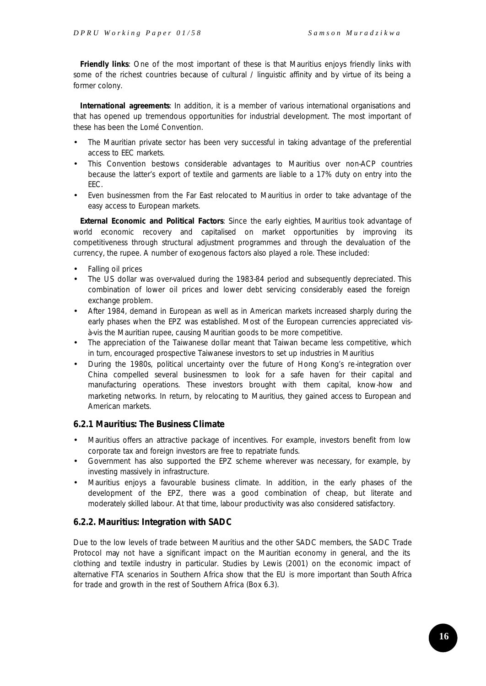*Friendly links:* One of the most important of these is that Mauritius enjoys friendly links with some of the richest countries because of cultural / linguistic affinity and by virtue of its being a former colony.

**International agreements**: In addition, it is a member of various international organisations and that has opened up tremendous opportunities for industrial development. The most important of these has been the Lomé Convention.

- The Mauritian private sector has been very successful in taking advantage of the preferential access to EEC markets.
- This Convention bestows considerable advantages to Mauritius over non-ACP countries because the latter's export of textile and garments are liable to a 17% duty on entry into the EEC.
- Even businessmen from the Far East relocated to Mauritius in order to take advantage of the easy access to European markets.

*External Economic and Political Factors:* Since the early eighties, Mauritius took advantage of world economic recovery and capitalised on market opportunities by improving its competitiveness through structural adjustment programmes and through the devaluation of the currency, the rupee. A number of exogenous factors also played a role. These included:

- Falling oil prices
- The US dollar was over-valued during the 1983-84 period and subsequently depreciated. This combination of lower oil prices and lower debt servicing considerably eased the foreign exchange problem.
- After 1984, demand in European as well as in American markets increased sharply during the early phases when the EPZ was established. Most of the European currencies appreciated visà-vis the Mauritian rupee, causing Mauritian goods to be more competitive.
- The appreciation of the Taiwanese dollar meant that Taiwan became less competitive, which in turn, encouraged prospective Taiwanese investors to set up industries in Mauritius
- During the 1980s, political uncertainty over the future of Hong Kong's re-integration over China compelled several businessmen to look for a safe haven for their capital and manufacturing operations. These investors brought with them capital, know-how and marketing networks. In return, by relocating to Mauritius, they gained access to European and American markets.

# *6.2.1 Mauritius: The Business Climate*

- Mauritius offers an attractive package of incentives. For example, investors benefit from low corporate tax and foreign investors are free to repatriate funds.
- Government has also supported the EPZ scheme wherever was necessary, for example, by investing massively in infrastructure.
- Mauritius enjoys a favourable business climate. In addition, in the early phases of the development of the EPZ, there was a good combination of cheap, but literate and moderately skilled labour. At that time, labour productivity was also considered satisfactory.

## *6.2.2. Mauritius: Integration with SADC*

Due to the low levels of trade between Mauritius and the other SADC members, the SADC Trade Protocol may not have a significant impact on the Mauritian economy in general, and the its clothing and textile industry in particular. Studies by Lewis (2001) on the economic impact of alternative FTA scenarios in Southern Africa show that the EU is more important than South Africa for trade and growth in the rest of Southern Africa (Box 6.3).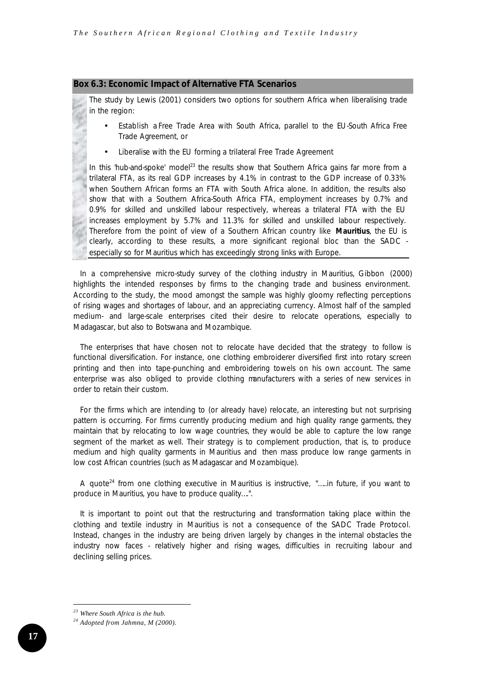#### **Box 6.3: Economic Impact of Alternative FTA Scenarios**

The study by Lewis (2001) considers two options for southern Africa when liberalising trade in the region:

- *Establish a Free Trade Area with South Africa, parallel to the EU-South Africa Free Trade Agreement, or*
- *Liberalise with the EU forming a trilateral Free Trade Agreement*

In this 'hub-and-spoke' model<sup>23</sup> the results show that Southern Africa gains far more from a trilateral FTA, as its real GDP increases by 4.1% in contrast to the GDP increase of 0.33% when Southern African forms an FTA with South Africa alone. In addition, the results also show that with a Southern Africa-South Africa FTA, employment increases by 0.7% and 0.9% for skilled and unskilled labour respectively, whereas a trilateral FTA with the EU increases employment by 5.7% and 11.3% for skilled and unskilled labour respectively. Therefore from the point of view of a Southern African country like **Mauritius**, the EU is clearly, according to these results, a more significant regional bloc than the SADC especially so for Mauritius which has exceedingly strong links with Europe.

In a comprehensive micro-study survey of the clothing industry in Mauritius, Gibbon (2000) highlights the intended responses by firms to the changing trade and business environment. According to the study, the mood amongst the sample was highly gloomy reflecting perceptions of rising wages and shortages of labour, and an appreciating currency. Almost half of the sampled medium- and large-scale enterprises cited their desire to relocate operations, especially to Madagascar, but also to Botswana and Mozambique.

The enterprises that have chosen not to relocate have decided that the strategy to follow is functional diversification. For instance, one clothing embroiderer diversified first into rotary screen printing and then into tape-punching and embroidering towels on his own account. The same enterprise was also obliged to provide clothing manufacturers with a series of new services in order to retain their custom.

For the firms which are intending to (or already have) relocate, an interesting but not surprising pattern is occurring. For firms currently producing medium and high quality range garments, they maintain that by relocating to low wage countries, they would be able to capture the low range segment of the market as well. Their strategy is to complement production, that is, to produce medium and high quality garments in Mauritius and then mass produce low range garments in low cost African countries (such as Madagascar and Mozambique).

A quote<sup>24</sup> from one clothing executive in Mauritius is instructive, *"…..in future, if you want to produce in Mauritius, you have to produce quality…."*.

It is important to point out that the restructuring and transformation taking place within the clothing and textile industry in Mauritius is not a consequence of the SADC Trade Protocol. Instead, changes in the industry are being driven largely by changes in the internal obstacles the industry now faces - relatively higher and rising wages, difficulties in recruiting labour and declining selling prices.

*<sup>23</sup> Where South Africa is the hub.*

*<sup>24</sup> Adopted from Jahmna, M (2000).*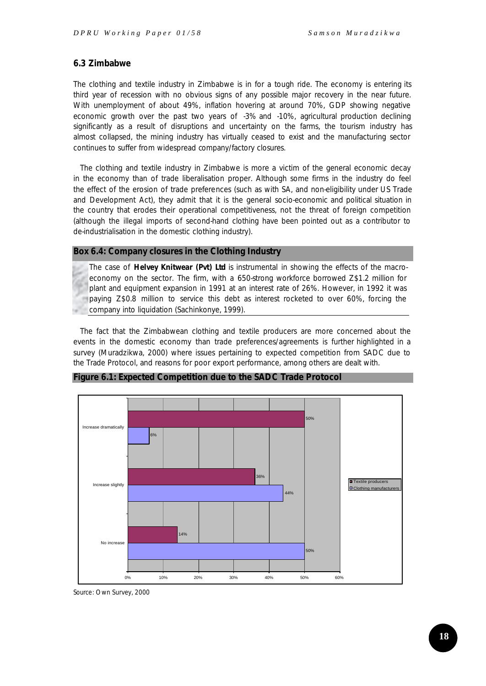# **6.3 Zimbabwe**

The clothing and textile industry in Zimbabwe is in for a tough ride. The economy is entering its third year of recession with no obvious signs of any possible major recovery in the near future. With unemployment of about 49%, inflation hovering at around 70%, GDP showing negative economic growth over the past two years of -3% and -10%, agricultural production declining significantly as a result of disruptions and uncertainty on the farms, the tourism industry has almost collapsed, the mining industry has virtually ceased to exist and the manufacturing sector continues to suffer from widespread company/factory closures.

The clothing and textile industry in Zimbabwe is more a victim of the general economic decay in the economy than of trade liberalisation proper. Although some firms in the industry do feel the effect of the erosion of trade preferences (such as with SA, and non-eligibility under US Trade and Development Act), they admit that it is the general socio-economic and political situation in the country that erodes their operational competitiveness, not the threat of foreign competition (although the illegal imports of second-hand clothing have been pointed out as a contributor to de-industrialisation in the domestic clothing industry).

#### **Box 6.4: Company closures in the Clothing Industry**

The case of *Helvey Knitwear (Pvt) Ltd* is instrumental in showing the effects of the macroeconomy on the sector. The firm, with a 650-strong workforce borrowed Z\$1.2 million for plant and equipment expansion in 1991 at an interest rate of 26%. However, in 1992 it was paying Z\$0.8 million to service this debt as interest rocketed to over 60%, forcing the company into liquidation (Sachinkonye, 1999).

The fact that the Zimbabwean clothing and textile producers are more concerned about the events in the domestic economy than trade preferences/agreements is further highlighted in a survey (Muradzikwa, 2000) where issues pertaining to expected competition from SADC due to the Trade Protocol, and reasons for poor export performance, among others are dealt with.



**Figure 6.1: Expected Competition due to the SADC Trade Protocol**

*Source*: Own Survey, 2000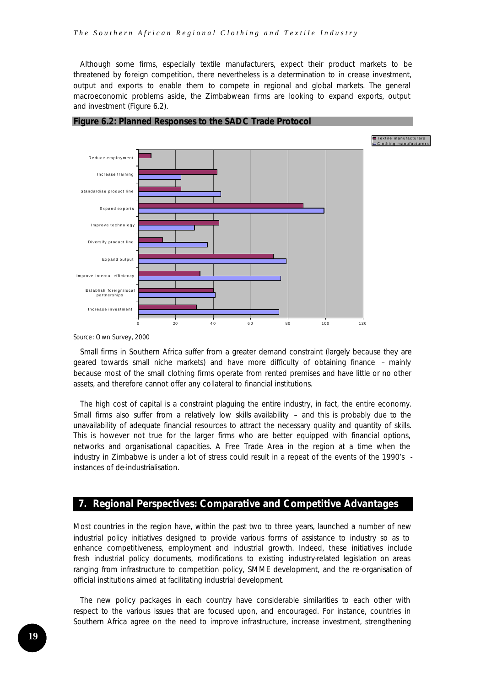Although some firms, especially textile manufacturers, expect their product markets to be threatened by foreign competition, there nevertheless is a determination to in crease investment, output and exports to enable them to compete in regional and global markets. The general macroeconomic problems aside, the Zimbabwean firms are looking to expand exports, output and investment (Figure 6.2).



![](_page_18_Figure_3.jpeg)

*Source*: Own Survey, 2000

Small firms in Southern Africa suffer from a greater demand constraint (largely because they are geared towards small niche markets) and have more difficulty of obtaining finance – mainly because most of the small clothing firms operate from rented premises and have little or no other assets, and therefore cannot offer any collateral to financial institutions.

The high cost of capital is a constraint plaguing the entire industry, in fact, the entire economy. Small firms also suffer from a relatively low skills availability  $-$  and this is probably due to the unavailability of adequate financial resources to attract the necessary quality and quantity of skills. This is however not true for the larger firms who are better equipped with financial options, networks and organisational capacities. A Free Trade Area in the region at a time when the industry in Zimbabwe is under a lot of stress could result in a repeat of the events of the 1990's instances of de-industrialisation.

# **7. Regional Perspectives: Comparative and Competitive Advantages**

Most countries in the region have, within the past two to three years, launched a number of new industrial policy initiatives designed to provide various forms of assistance to industry so as to enhance competitiveness, employment and industrial growth. Indeed, these initiatives include fresh industrial policy documents, modifications to existing industry-related legislation on areas ranging from infrastructure to competition policy, SMME development, and the re-organisation of official institutions aimed at facilitating industrial development.

The new policy packages in each country have considerable similarities to each other with respect to the various issues that are focused upon, and encouraged. For instance, countries in Southern Africa agree on the need to improve infrastructure, increase investment, strengthening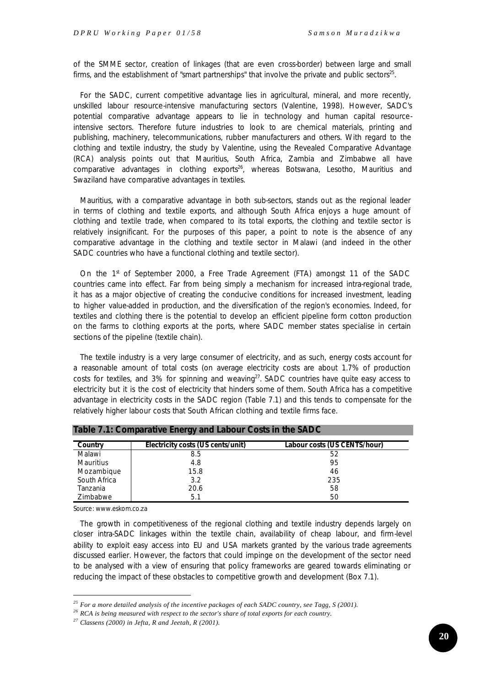of the SMME sector, creation of linkages (that are even cross-border) between large and small firms, and the establishment of "smart partnerships" that involve the private and public sectors<sup>25</sup>.

For the SADC, current competitive advantage lies in agricultural, mineral, and more recently, unskilled labour resource-intensive manufacturing sectors (Valentine, 1998). However, SADC's potential comparative advantage appears to lie in technology and human capital resourceintensive sectors. Therefore future industries to look to are chemical materials, printing and publishing, machinery, telecommunications, rubber manufacturers and others. With regard to the clothing and textile industry, the study by Valentine, using the Revealed Comparative Advantage (RCA) analysis points out that Mauritius, South Africa, Zambia and Zimbabwe all have comparative advantages in clothing exports<sup>26</sup>, whereas Botswana, Lesotho, Mauritius and Swaziland have comparative advantages in textiles.

Mauritius, with a comparative advantage in both sub-sectors, stands out as the regional leader in terms of clothing and textile exports, and although South Africa enjoys a huge amount of clothing and textile trade, when compared to its total exports, the clothing and textile sector is relatively insignificant. For the purposes of this paper, a point to note is the absence of any comparative advantage in the clothing and textile sector in Malawi (and indeed in the other SADC countries who have a functional clothing and textile sector).

On the  $1<sup>st</sup>$  of September 2000, a Free Trade Agreement (FTA) amongst 11 of the SADC countries came into effect. Far from being simply a mechanism for increased intra-regional trade, it has as a major objective of creating the conducive conditions for increased investment, leading to higher value-added in production, and the diversification of the region's economies. Indeed, for textiles and clothing there is the potential to develop an efficient pipeline form cotton production on the farms to clothing exports at the ports, where SADC member states specialise in certain sections of the pipeline (textile chain).

The textile industry is a very large consumer of electricity, and as such, energy costs account for a reasonable amount of total costs (on average electricity costs are about 1.7% of production costs for textiles, and 3% for spinning and weaving<sup>27</sup>. SADC countries have quite easy access to electricity but it is the cost of electricity that hinders some of them. South Africa has a competitive advantage in electricity costs in the SADC region (Table 7.1) and this tends to compensate for the relatively higher labour costs that South African clothing and textile firms face.

| Table 7.1. Comparative Energy and Labour Costs in the SADC |                                   |                              |  |  |  |
|------------------------------------------------------------|-----------------------------------|------------------------------|--|--|--|
| Country                                                    | Electricity costs (US cents/unit) | Labour costs (US CENTS/hour) |  |  |  |
| Malawi                                                     | 8.5                               | 52                           |  |  |  |
| <b>Mauritius</b>                                           | 4.8                               | 95                           |  |  |  |
| Mozambique                                                 | 15.8                              | 46                           |  |  |  |
| South Africa                                               | 3.2                               | 235                          |  |  |  |
| Tanzania                                                   | 20.6                              | 58                           |  |  |  |
| Zimbabwe                                                   | 5.1                               | 50                           |  |  |  |

|  | Table 7.1: Comparative Energy and Labour Costs in the SADC |  |  |  |
|--|------------------------------------------------------------|--|--|--|
|--|------------------------------------------------------------|--|--|--|

*Source*: www.eskom.co.za

l

The growth in competitiveness of the regional clothing and textile industry depends largely on closer intra-SADC linkages within the textile chain, availability of cheap labour, and firm-level ability to exploit easy access into EU and USA markets granted by the various trade agreements discussed earlier. However, the factors that could impinge on the development of the sector need to be analysed with a view of ensuring that policy frameworks are geared towards eliminating or reducing the impact of these obstacles to competitive growth and development (Box 7.1).

*<sup>25</sup> For a more detailed analysis of the incentive packages of each SADC country, see Tagg, S (2001).*

*<sup>26</sup> RCA is being measured with respect to the sector's share of total exports for each country.*

*<sup>27</sup> Classens (2000) in Jefta, R and Jeetah, R (2001).*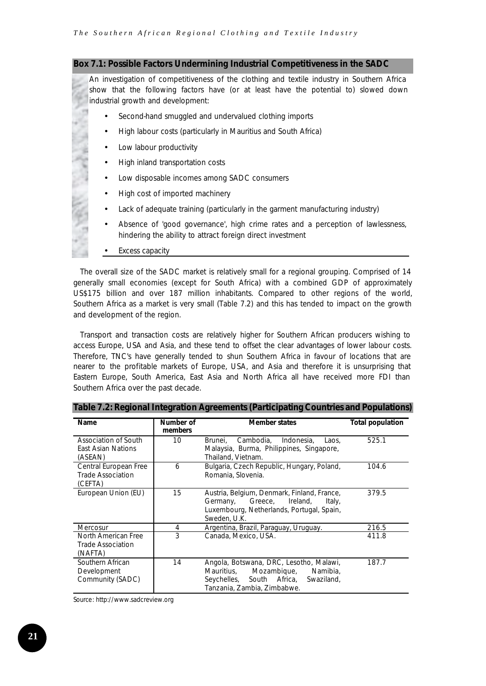#### **Box 7.1: Possible Factors Undermining Industrial Competitiveness in the SADC**

An investigation of competitiveness of the clothing and textile industry in Southern Africa show that the following factors have (or at least have the potential to) slowed down industrial growth and development:

- Second-hand smuggled and undervalued clothing imports
- High labour costs (particularly in Mauritius and South Africa)
- Low labour productivity
- High inland transportation costs
- Low disposable incomes among SADC consumers
- High cost of imported machinery
- Lack of adequate training (particularly in the garment manufacturing industry)
- Absence of 'good governance', high crime rates and a perception of lawlessness, hindering the ability to attract foreign direct investment
- Excess capacity

The overall size of the SADC market is relatively small for a regional grouping. Comprised of 14 generally small economies (except for South Africa) with a combined GDP of approximately US\$175 billion and over 187 million inhabitants. Compared to other regions of the world, Southern Africa as a market is very small (Table 7.2) and this has tended to impact on the growth and development of the region.

Transport and transaction costs are relatively higher for Southern African producers wishing to access Europe, USA and Asia, and these tend to offset the clear advantages of lower labour costs. Therefore, TNC's have generally tended to shun Southern Africa in favour of locations that are nearer to the profitable markets of Europe, USA, and Asia and therefore it is unsurprising that Eastern Europe, South America, East Asia and North Africa all have received more FDI than Southern Africa over the past decade.

| <b>Name</b>                                                  | Number of<br>members | <b>Member states</b>                                                                                                                                       | <b>Total population</b> |
|--------------------------------------------------------------|----------------------|------------------------------------------------------------------------------------------------------------------------------------------------------------|-------------------------|
| Association of South<br>East Asian Nations<br>(ASEAN)        | 10                   | Cambodia, Indonesia,<br>Brunei.<br>Laos.<br>Malaysia, Burma, Philippines, Singapore,<br>Thailand, Vietnam.                                                 | 525.1                   |
| Central European Free<br><b>Trade Association</b><br>(CEFTA) | 6                    | Bulgaria, Czech Republic, Hungary, Poland,<br>Romania, Slovenia.                                                                                           | 104.6                   |
| European Union (EU)                                          | 15                   | Austria, Belgium, Denmark, Finland, France,<br>Greece, Ireland,<br>Germany,<br>Italy,<br>Luxembourg, Netherlands, Portugal, Spain,<br>Sweden, U.K.         | 379.5                   |
| Mercosur                                                     | 4                    | Argentina, Brazil, Paraguay, Uruguay.                                                                                                                      | 216.5                   |
| North American Free<br><b>Trade Association</b><br>(NAFTA)   | 3                    | Canada, Mexico, USA.                                                                                                                                       | 411.8                   |
| Southern African<br>Development<br>Community (SADC)          | 14                   | Angola, Botswana, DRC, Lesotho, Malawi,<br>Mauritius,<br>Mozambique,<br>Namibia,<br>Seychelles, South Africa,<br>Swaziland,<br>Tanzania, Zambia, Zimbabwe. | 187.7                   |

**Table 7.2: Regional Integration Agreements (Participating Countries and Populations)**

*Source*: http://www.sadcreview.org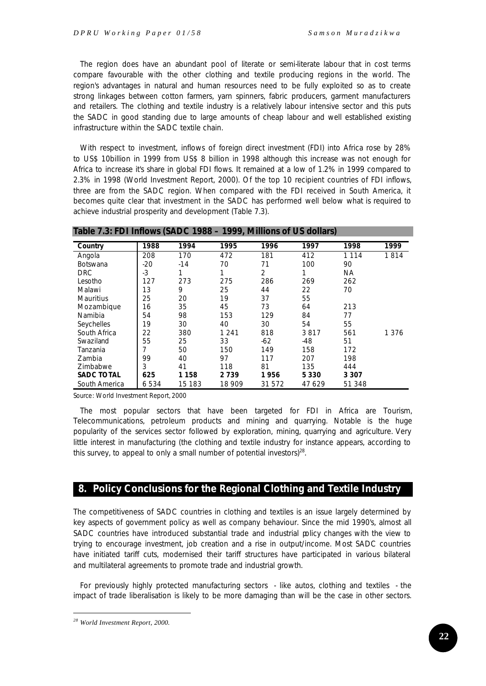The region does have an abundant pool of literate or semi-literate labour that in cost terms compare favourable with the other clothing and textile producing regions in the world. The region's advantages in natural and human resources need to be fully exploited so as to create strong linkages between cotton farmers, yarn spinners, fabric producers, garment manufacturers and retailers. The clothing and textile industry is a relatively labour intensive sector and this puts the SADC in good standing due to large amounts of cheap labour and well established existing infrastructure within the SADC textile chain.

With respect to investment, inflows of foreign direct investment (FDI) into Africa rose by 28% to US\$ 10billion in 1999 from US\$ 8 billion in 1998 although this increase was not enough for Africa to increase it's share in global FDI flows. It remained at a low of 1.2% in 1999 compared to 2.3% in 1998 (World Investment Report, 2000). Of the top 10 recipient countries of FDI inflows, three are from the SADC region. When compared with the FDI received in South America, it becomes quite clear that investment in the SADC has performed well below what is required to achieve industrial prosperity and development (Table 7.3).

| Table 7.3: FDI Inflows (SADC 1988 – 1999, Millions of US dollars) |       |         |         |        |         |           |         |
|-------------------------------------------------------------------|-------|---------|---------|--------|---------|-----------|---------|
| Country                                                           | 1988  | 1994    | 1995    | 1996   | 1997    | 1998      | 1999    |
| Angola                                                            | 208   | 170     | 472     | 181    | 412     | 1 1 1 4   | 1814    |
| <b>Botswana</b>                                                   | $-20$ | $-14$   | 70      | 71     | 100     | 90        |         |
| <b>DRC</b>                                                        | $-3$  | 1       | 1       | 2      | 1       | <b>NA</b> |         |
| Lesotho                                                           | 127   | 273     | 275     | 286    | 269     | 262       |         |
| Malawi                                                            | 13    | 9       | 25      | 44     | 22      | 70        |         |
| Mauritius                                                         | 25    | 20      | 19      | 37     | 55      |           |         |
| Mozambique                                                        | 16    | 35      | 45      | 73     | 64      | 213       |         |
| Namibia                                                           | 54    | 98      | 153     | 129    | 84      | 77        |         |
| Seychelles                                                        | 19    | 30      | 40      | 30     | 54      | 55        |         |
| South Africa                                                      | 22    | 380     | 1 2 4 1 | 818    | 3817    | 561       | 1 3 7 6 |
| Swaziland                                                         | 55    | 25      | 33      | $-62$  | $-48$   | 51        |         |
| Tanzania                                                          | 7     | 50      | 150     | 149    | 158     | 172       |         |
| Zambia                                                            | 99    | 40      | 97      | 117    | 207     | 198       |         |
| Zimbabwe                                                          | 3     | 41      | 118     | 81     | 135     | 444       |         |
| <b>SADC TOTAL</b>                                                 | 625   | 1 1 5 8 | 2 739   | 1 956  | 5 3 3 0 | 3 3 0 7   |         |
| South America                                                     | 6534  | 15 183  | 18 909  | 31 572 | 47629   | 51 348    |         |

*Source*: World Investment Report, 2000

The most popular sectors that have been targeted for FDI in Africa are Tourism, Telecommunications, petroleum products and mining and quarrying. Notable is the huge popularity of the services sector followed by exploration, mining, quarrying and agriculture. Very little interest in manufacturing (the clothing and textile industry for instance appears, according to this survey, to appeal to only a small number of potential investors) $^{28}$ .

# **8. Policy Conclusions for the Regional Clothing and Textile Industry**

The competitiveness of SADC countries in clothing and textiles is an issue largely determined by key aspects of government policy as well as company behaviour. Since the mid 1990's, almost all SADC countries have introduced substantial trade and industrial policy changes with the view to trying to encourage investment, job creation and a rise in output/income. Most SADC countries have initiated tariff cuts, modernised their tariff structures have participated in various bilateral and multilateral agreements to promote trade and industrial growth.

For previously highly protected manufacturing sectors - like autos, clothing and textiles - the impact of trade liberalisation is likely to be more damaging than will be the case in other sectors.

*<sup>28</sup> World Investment Report, 2000.*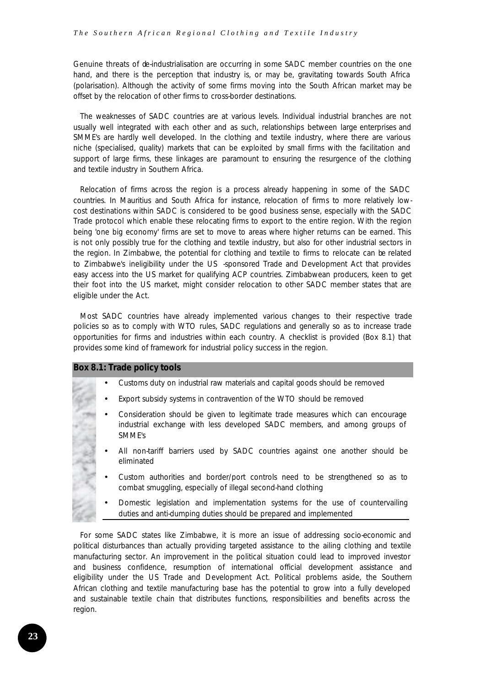Genuine threats of de-industrialisation are occurring in some SADC member countries on the one hand, and there is the perception that industry is, or may be, gravitating towards South Africa (polarisation). Although the activity of some firms moving into the South African market may be offset by the relocation of other firms to cross-border destinations.

The weaknesses of SADC countries are at various levels. Individual industrial branches are not usually well integrated with each other and as such, relationships between large enterprises and SMME's are hardly well developed. In the clothing and textile industry, where there are various niche (specialised, quality) markets that can be exploited by small firms with the facilitation and support of large firms, these linkages are paramount to ensuring the resurgence of the clothing and textile industry in Southern Africa.

Relocation of firms across the region is a process already happening in some of the SADC countries. In Mauritius and South Africa for instance, relocation of firms to more relatively lowcost destinations within SADC is considered to be good business sense, especially with the SADC Trade protocol which enable these relocating firms to export to the entire region. With the region being 'one big economy' firms are set to move to areas where higher returns can be earned. This is not only possibly true for the clothing and textile industry, but also for other industrial sectors in the region. In Zimbabwe, the potential for clothing and textile to firms to relocate can be related to Zimbabwe's ineligibility under the US -sponsored Trade and Development Act that provides easy access into the US market for qualifying ACP countries. Zimbabwean producers, keen to get their foot into the US market, might consider relocation to other SADC member states that are eligible under the Act.

Most SADC countries have already implemented various changes to their respective trade policies so as to comply with WTO rules, SADC regulations and generally so as to increase trade opportunities for firms and industries within each country. A checklist is provided (Box 8.1) that provides some kind of framework for industrial policy success in the region.

#### **Box 8.1: Trade policy tools**

- Customs duty on industrial raw materials and capital goods should be removed
- Export subsidy systems in contravention of the WTO should be removed
- Consideration should be given to legitimate trade measures which can encourage industrial exchange with less developed SADC members, and among groups of SMME's
- All non-tariff barriers used by SADC countries against one another should be eliminated
- Custom authorities and border/port controls need to be strengthened so as to combat smuggling, especially of illegal second-hand clothing
- Domestic legislation and implementation systems for the use of countervailing duties and anti-dumping duties should be prepared and implemented

For some SADC states like Zimbabwe, it is more an issue of addressing socio-economic and political disturbances than actually providing targeted assistance to the ailing clothing and textile manufacturing sector. An improvement in the political situation could lead to improved investor and business confidence, resumption of international official development assistance and eligibility under the US Trade and Development Act. Political problems aside, the Southern African clothing and textile manufacturing base has the potential to grow into a fully developed and sustainable textile chain that distributes functions, responsibilities and benefits across the region.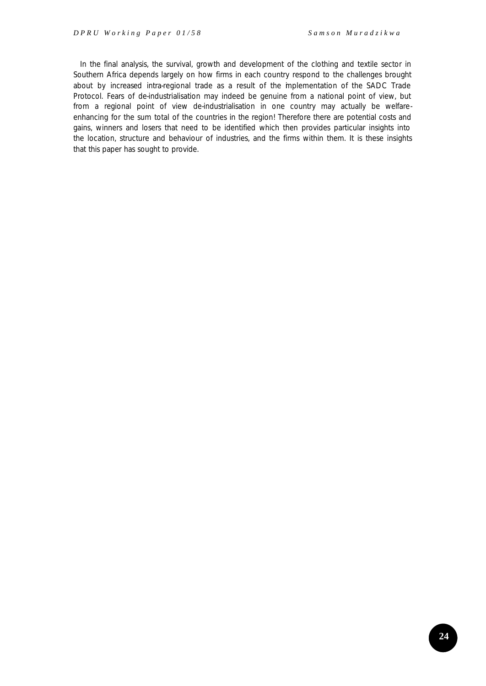In the final analysis, the survival, growth and development of the clothing and textile sector in Southern Africa depends largely on how firms in each country respond to the challenges brought about by increased intra-regional trade as a result of the implementation of the SADC Trade Protocol. Fears of de-industrialisation may indeed be genuine from a national point of view, but from a regional point of view de-industrialisation in one country may actually be welfareenhancing for the sum total of the countries in the region! Therefore there are potential costs and gains, winners and losers that need to be identified which then provides particular insights into the location, structure and behaviour of industries, and the firms within them. It is these insights that this paper has sought to provide.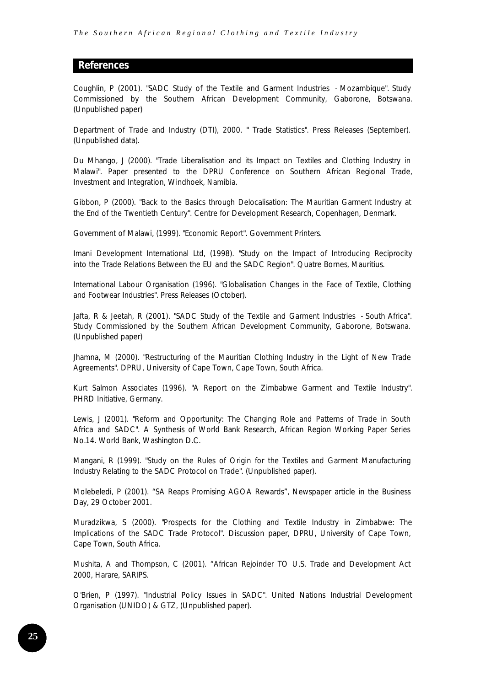# **References**

Coughlin, P (2001). "SADC Study of the Textile and Garment Industries - Mozambique". Study Commissioned by the Southern African Development Community, Gaborone, Botswana. (Unpublished paper)

Department of Trade and Industry (DTI), 2000. " Trade Statistics". Press Releases (September). (Unpublished data).

Du Mhango, J (2000). "Trade Liberalisation and its Impact on Textiles and Clothing Industry in Malawi". Paper presented to the DPRU Conference on Southern African Regional Trade, Investment and Integration, Windhoek, Namibia.

Gibbon, P (2000). "Back to the Basics through Delocalisation: The Mauritian Garment Industry at the End of the Twentieth Century". Centre for Development Research, Copenhagen, Denmark.

Government of Malawi, (1999). "Economic Report". Government Printers.

Imani Development International Ltd, (1998). "Study on the Impact of Introducing Reciprocity into the Trade Relations Between the EU and the SADC Region". Quatre Bornes, Mauritius.

International Labour Organisation (1996). "Globalisation Changes in the Face of Textile, Clothing and Footwear Industries". Press Releases (October).

Jafta, R & Jeetah, R (2001). "SADC Study of the Textile and Garment Industries - South Africa". Study Commissioned by the Southern African Development Community, Gaborone, Botswana. (Unpublished paper)

Jhamna, M (2000). "Restructuring of the Mauritian Clothing Industry in the Light of New Trade Agreements". DPRU, University of Cape Town, Cape Town, South Africa.

Kurt Salmon Associates (1996). "A Report on the Zimbabwe Garment and Textile Industry". PHRD Initiative, Germany.

Lewis, J (2001). "Reform and Opportunity: The Changing Role and Patterns of Trade in South Africa and SADC". A Synthesis of World Bank Research, African Region Working Paper Series No.14. World Bank, Washington D.C.

Mangani, R (1999). "Study on the Rules of Origin for the Textiles and Garment Manufacturing Industry Relating to the SADC Protocol on Trade". (Unpublished paper).

Molebeledi, P (2001). "SA Reaps Promising AGOA Rewards", Newspaper article in the Business Day, 29 October 2001.

Muradzikwa, S (2000). "Prospects for the Clothing and Textile Industry in Zimbabwe: The Implications of the SADC Trade Protocol". Discussion paper, DPRU, University of Cape Town, Cape Town, South Africa.

Mushita, A and Thompson, C (2001). "African Rejoinder TO U.S. Trade and Development Act 2000, Harare, SARIPS.

O'Brien, P (1997). "Industrial Policy Issues in SADC". United Nations Industrial Development Organisation (UNIDO) & GTZ, (Unpublished paper).